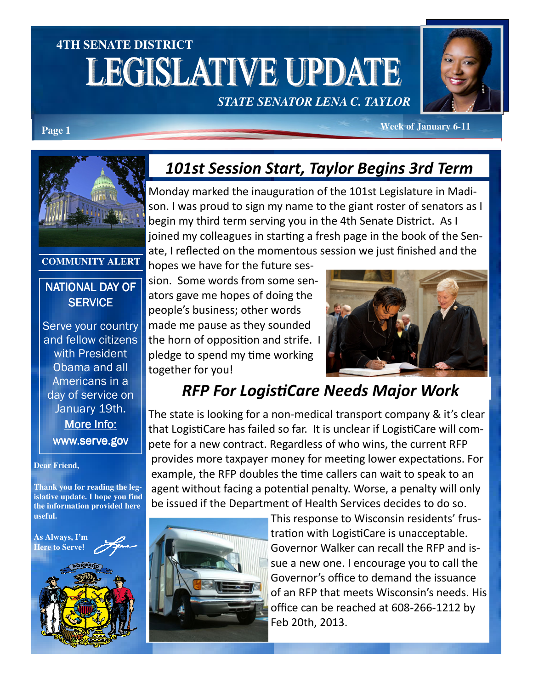# **4TH SENATE DISTRICT LEGISLATIVE UPDATE**

*STATE SENATOR LENA C. TAYLOR* 



**Page 1** *Page 1 Page 1 Page 1* **<b>***Page 1 Page 1 Page 1 Page 1 Page 1 Page 1 Page 1* **<b>***Page 1 Page 1 Page 1 Page 1 Page 1 Page 1 Page 1 Page 11* **<b>***Page 11* **<b>***Page* 



#### **COMMUNITY ALERT**

#### NATIONAL DAY OF **SERVICE**

Serve your country and fellow citizens with President Obama and all Americans in a day of service on January 19th. More Info: www.serve.gov

#### **Dear Friend,**

**Thank you for reading the legislative update. I hope you find the information provided here useful.** 



### 101st Session Start, Taylor Begins 3rd Term

Monday marked the inauguration of the 101st Legislature in Madison. I was proud to sign my name to the giant roster of senators as I begin my third term serving you in the 4th Senate District. As I joined my colleagues in starting a fresh page in the book of the Senate, I reflected on the momentous session we just finished and the

hopes we have for the future session. Some words from some senators gave me hopes of doing the people's business; other words made me pause as they sounded the horn of opposition and strife. I pledge to spend my time working together for you!



### **RFP For LogistiCare Needs Major Work**

The state is looking for a non-medical transport company & it's clear that LogistiCare has failed so far. It is unclear if LogistiCare will compete for a new contract. Regardless of who wins, the current RFP provides more taxpayer money for meeting lower expectations. For example, the RFP doubles the time callers can wait to speak to an agent without facing a potential penalty. Worse, a penalty will only be issued if the Department of Health Services decides to do so.



This response to Wisconsin residents' frustration with LogistiCare is unacceptable. Governor Walker can recall the RFP and issue a new one. I encourage you to call the Governor's office to demand the issuance of an RFP that meets Wisconsin's needs. His office can be reached at 608-266-1212 by Feb 20th, 2013.